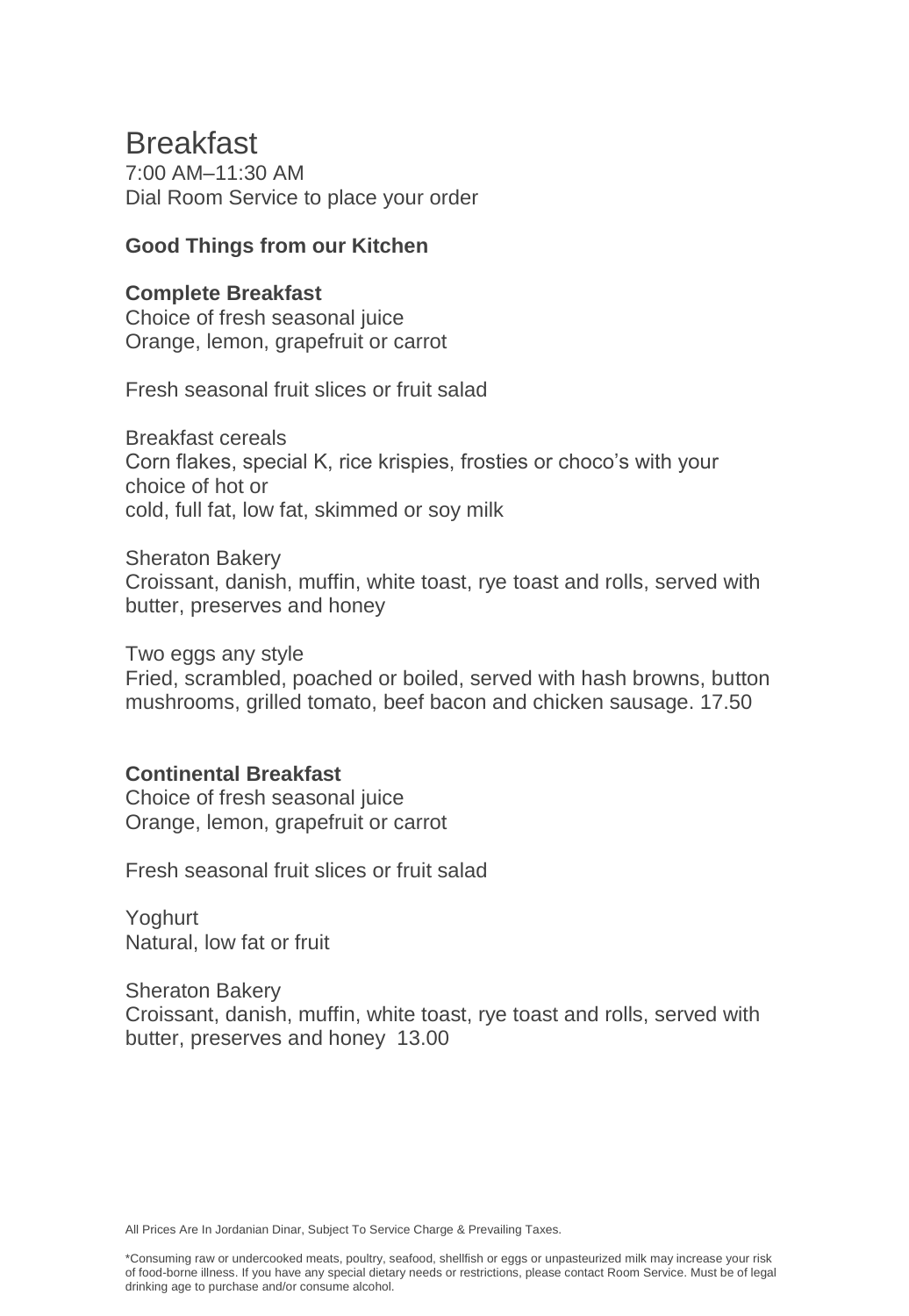# Breakfast

7:00 AM–11:30 AM Dial Room Service to place your order

### **Good Things from our Kitchen**

### **Complete Breakfast**

Choice of fresh seasonal juice Orange, lemon, grapefruit or carrot

Fresh seasonal fruit slices or fruit salad

Breakfast cereals Corn flakes, special K, rice krispies, frosties or choco's with your choice of hot or cold, full fat, low fat, skimmed or soy milk

Sheraton Bakery Croissant, danish, muffin, white toast, rye toast and rolls, served with butter, preserves and honey

Two eggs any style Fried, scrambled, poached or boiled, served with hash browns, button mushrooms, grilled tomato, beef bacon and chicken sausage. 17.50

### **Continental Breakfast**

Choice of fresh seasonal juice Orange, lemon, grapefruit or carrot

Fresh seasonal fruit slices or fruit salad

Yoghurt Natural, low fat or fruit

Sheraton Bakery Croissant, danish, muffin, white toast, rye toast and rolls, served with butter, preserves and honey 13.00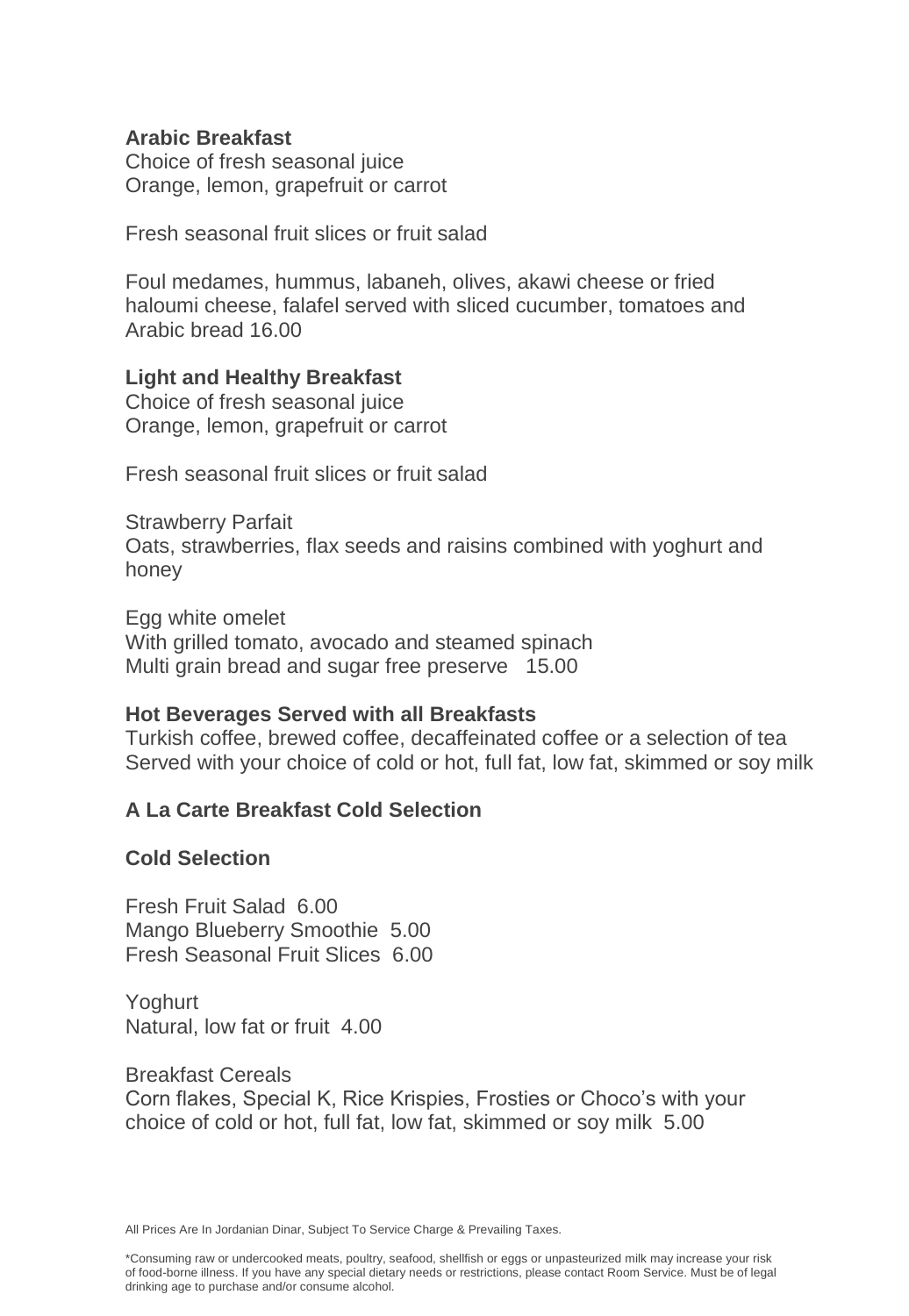### **Arabic Breakfast**

Choice of fresh seasonal juice Orange, lemon, grapefruit or carrot

Fresh seasonal fruit slices or fruit salad

Foul medames, hummus, labaneh, olives, akawi cheese or fried haloumi cheese, falafel served with sliced cucumber, tomatoes and Arabic bread 16.00

### **Light and Healthy Breakfast**

Choice of fresh seasonal juice Orange, lemon, grapefruit or carrot

Fresh seasonal fruit slices or fruit salad

Strawberry Parfait Oats, strawberries, flax seeds and raisins combined with yoghurt and honey

Egg white omelet With grilled tomato, avocado and steamed spinach Multi grain bread and sugar free preserve 15.00

### **Hot Beverages Served with all Breakfasts**

Turkish coffee, brewed coffee, decaffeinated coffee or a selection of tea Served with your choice of cold or hot, full fat, low fat, skimmed or soy milk

### **A La Carte Breakfast Cold Selection**

### **Cold Selection**

Fresh Fruit Salad 6.00 Mango Blueberry Smoothie 5.00 Fresh Seasonal Fruit Slices 6.00

Yoghurt Natural, low fat or fruit 4.00

Breakfast Cereals Corn flakes, Special K, Rice Krispies, Frosties or Choco's with your choice of cold or hot, full fat, low fat, skimmed or soy milk 5.00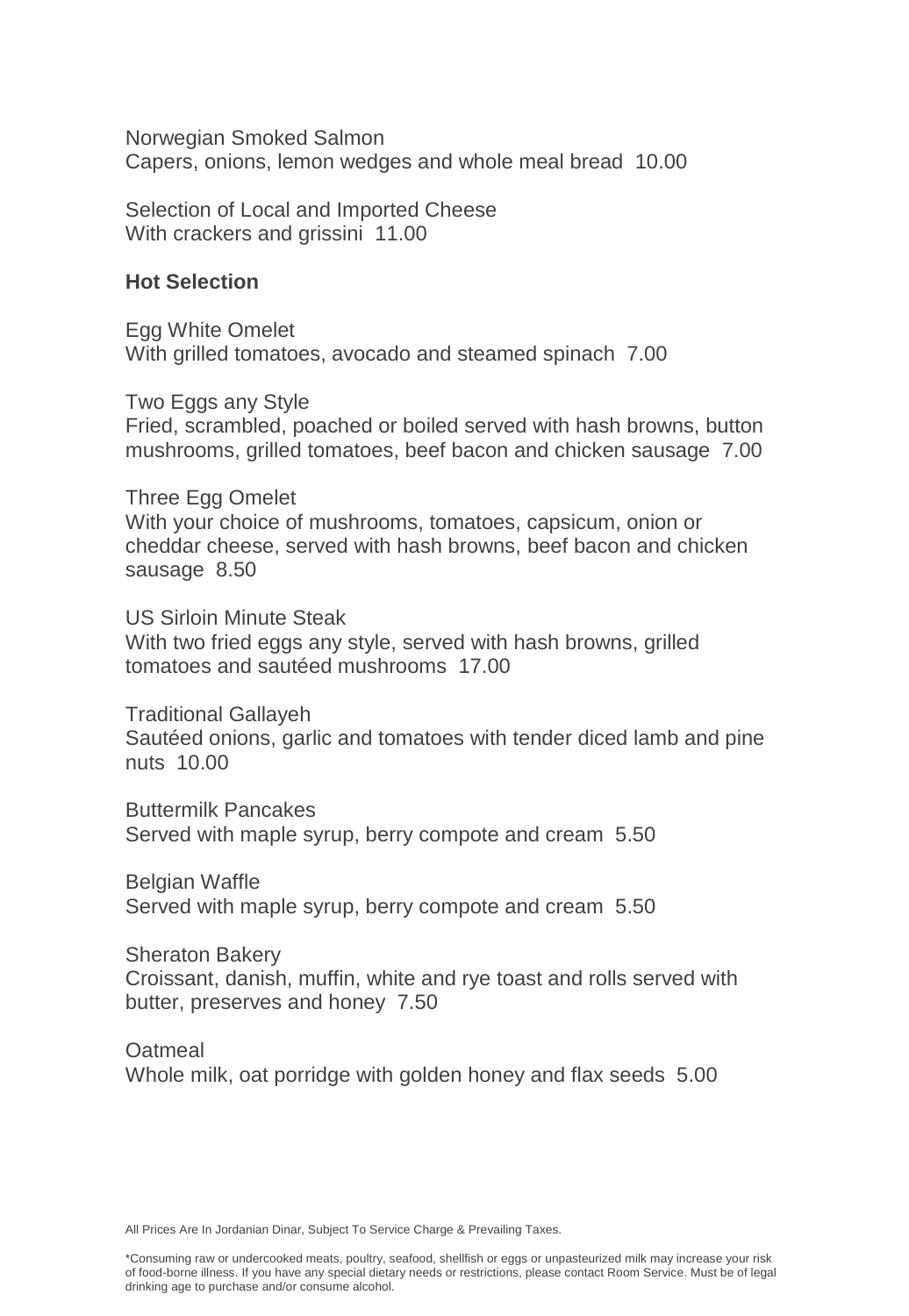Norwegian Smoked Salmon Capers, onions, lemon wedges and whole meal bread 10.00

Selection of Local and Imported Cheese With crackers and grissini 11.00

### **Hot Selection**

Egg White Omelet With grilled tomatoes, avocado and steamed spinach 7.00

Two Eggs any Style Fried, scrambled, poached or boiled served with hash browns, button mushrooms, grilled tomatoes, beef bacon and chicken sausage 7.00

Three Egg Omelet With your choice of mushrooms, tomatoes, capsicum, onion or cheddar cheese, served with hash browns, beef bacon and chicken sausage 8.50

US Sirloin Minute Steak With two fried eggs any style, served with hash browns, grilled tomatoes and sautéed mushrooms 17.00

Traditional Gallayeh Sautéed onions, garlic and tomatoes with tender diced lamb and pine nuts 10.00

Buttermilk Pancakes Served with maple syrup, berry compote and cream 5.50

Belgian Waffle Served with maple syrup, berry compote and cream 5.50

Sheraton Bakery Croissant, danish, muffin, white and rye toast and rolls served with butter, preserves and honey 7.50

**Oatmeal** Whole milk, oat porridge with golden honey and flax seeds 5.00

All Prices Are In Jordanian Dinar, Subject To Service Charge & Prevailing Taxes.

\*Consuming raw or undercooked meats, poultry, seafood, shellfish or eggs or unpasteurized milk may increase your risk of food-borne illness. If you have any special dietary needs or restrictions, please contact Room Service. Must be of legal drinking age to purchase and/or consume alcohol.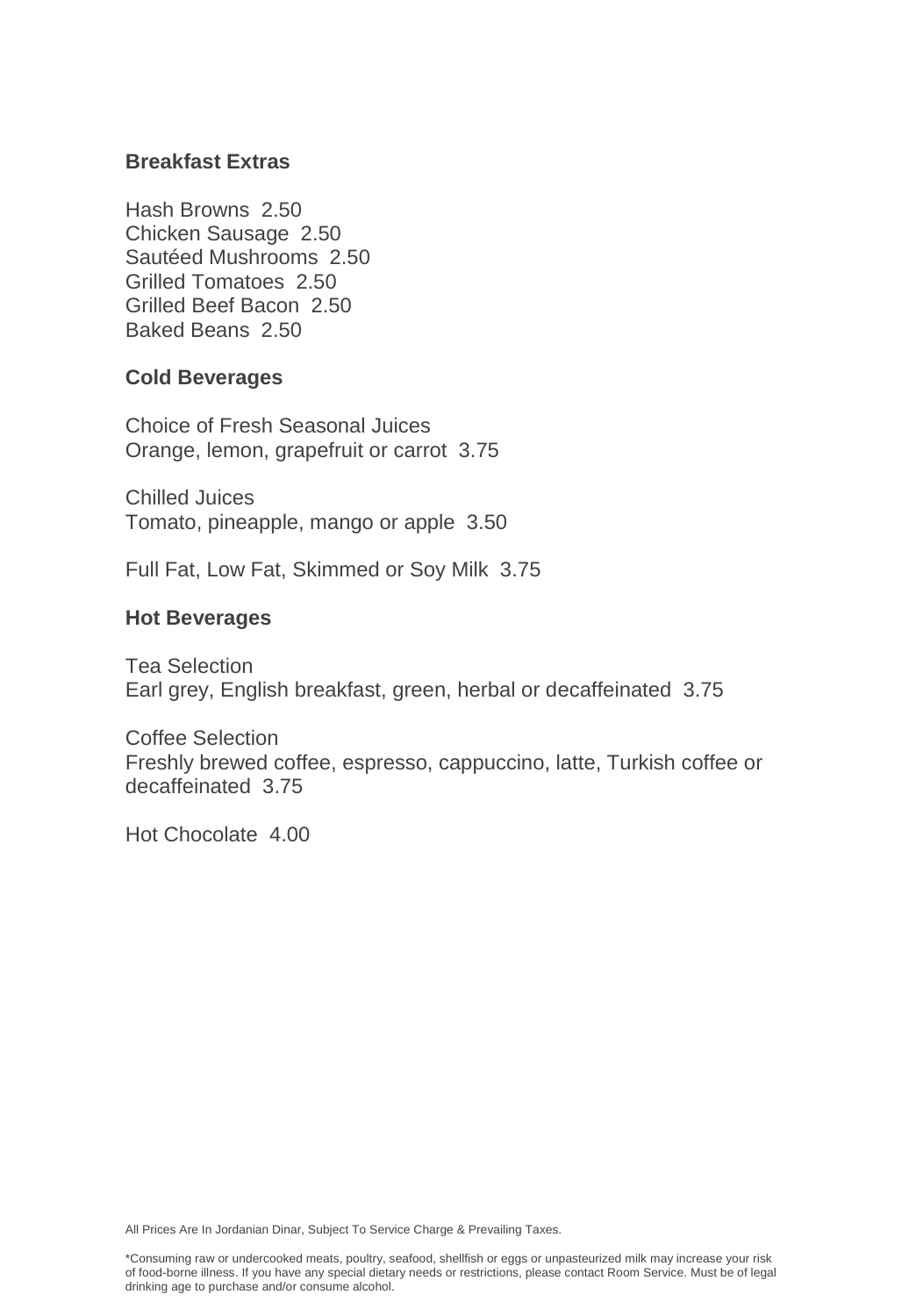### **Breakfast Extras**

Hash Browns 2.50 Chicken Sausage 2.50 Sautéed Mushrooms 2.50 Grilled Tomatoes 2.50 Grilled Beef Bacon 2.50 Baked Beans 2.50

### **Cold Beverages**

Choice of Fresh Seasonal Juices Orange, lemon, grapefruit or carrot 3.75

Chilled Juices Tomato, pineapple, mango or apple 3.50

Full Fat, Low Fat, Skimmed or Soy Milk 3.75

### **Hot Beverages**

Tea Selection Earl grey, English breakfast, green, herbal or decaffeinated 3.75

Coffee Selection Freshly brewed coffee, espresso, cappuccino, latte, Turkish coffee or decaffeinated 3.75

Hot Chocolate 4.00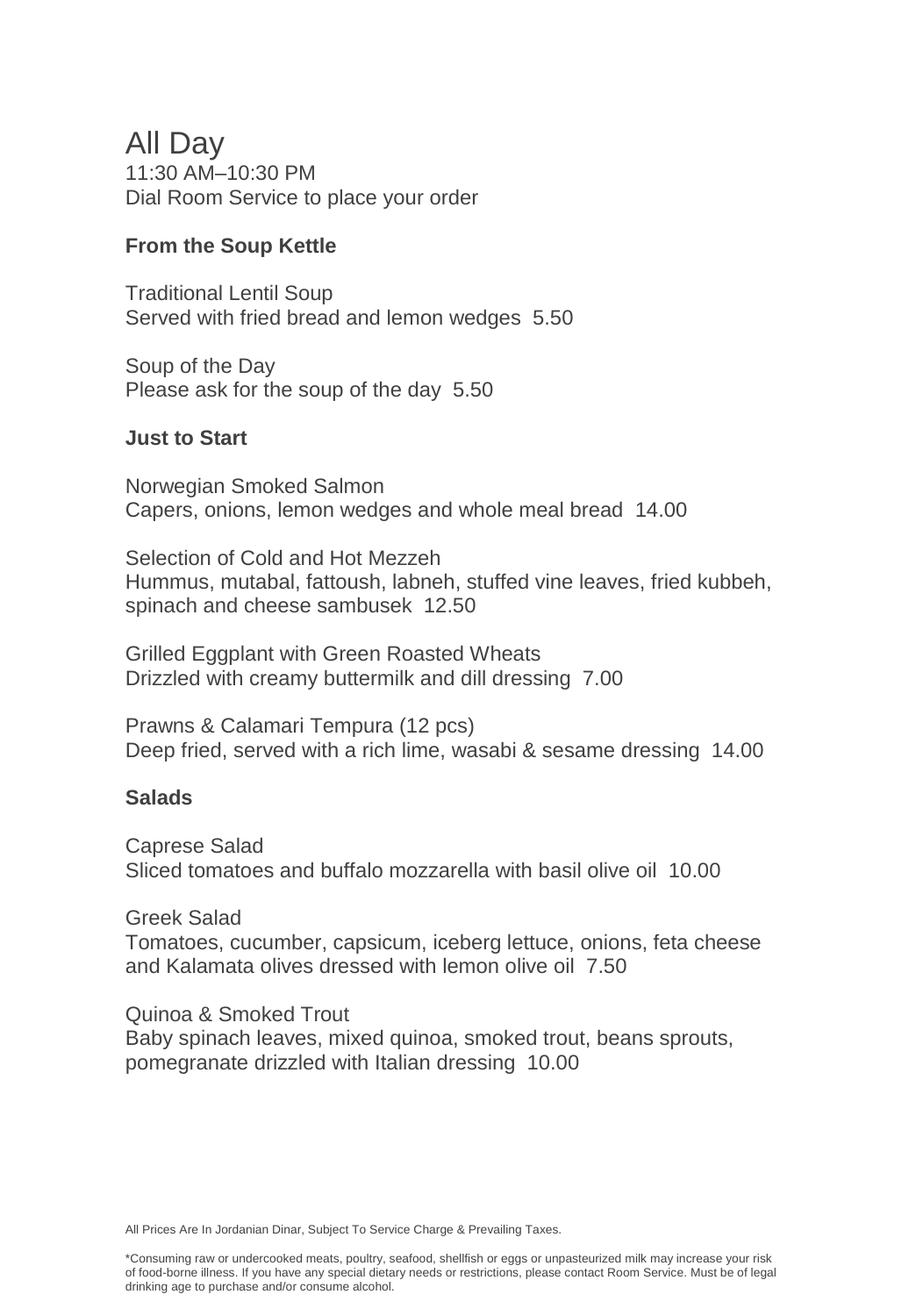## All Day

11:30 AM–10:30 PM Dial Room Service to place your order

### **From the Soup Kettle**

Traditional Lentil Soup Served with fried bread and lemon wedges 5.50

Soup of the Day Please ask for the soup of the day 5.50

### **Just to Start**

Norwegian Smoked Salmon Capers, onions, lemon wedges and whole meal bread 14.00

Selection of Cold and Hot Mezzeh Hummus, mutabal, fattoush, labneh, stuffed vine leaves, fried kubbeh, spinach and cheese sambusek 12.50

Grilled Eggplant with Green Roasted Wheats Drizzled with creamy buttermilk and dill dressing 7.00

Prawns & Calamari Tempura (12 pcs) Deep fried, served with a rich lime, wasabi & sesame dressing 14.00

### **Salads**

Caprese Salad Sliced tomatoes and buffalo mozzarella with basil olive oil 10.00

Greek Salad Tomatoes, cucumber, capsicum, iceberg lettuce, onions, feta cheese and Kalamata olives dressed with lemon olive oil 7.50

Quinoa & Smoked Trout Baby spinach leaves, mixed quinoa, smoked trout, beans sprouts, pomegranate drizzled with Italian dressing 10.00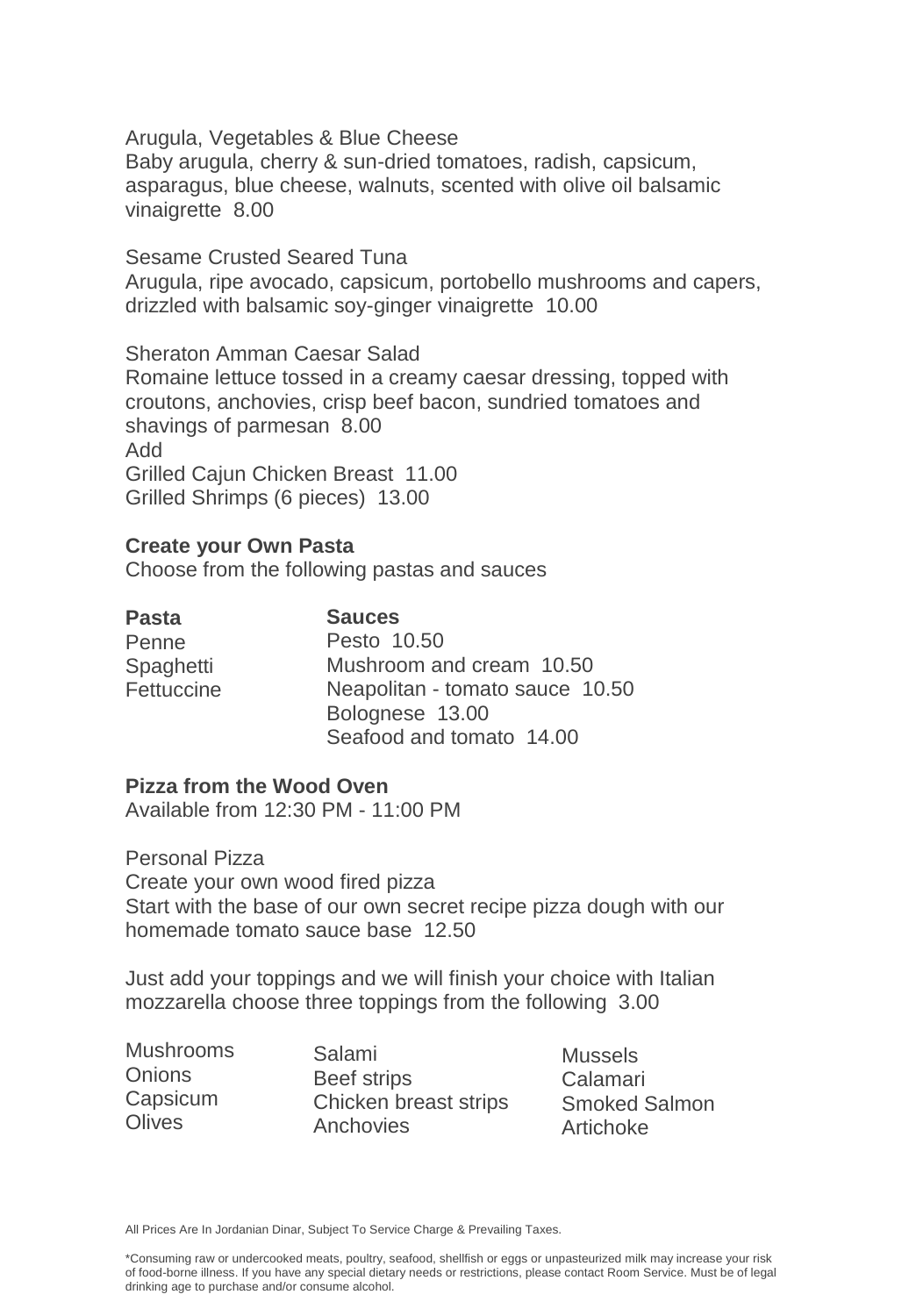Arugula, Vegetables & Blue Cheese Baby arugula, cherry & sun-dried tomatoes, radish, capsicum, asparagus, blue cheese, walnuts, scented with olive oil balsamic vinaigrette 8.00

Sesame Crusted Seared Tuna Arugula, ripe avocado, capsicum, portobello mushrooms and capers, drizzled with balsamic soy-ginger vinaigrette 10.00

Sheraton Amman Caesar Salad Romaine lettuce tossed in a creamy caesar dressing, topped with croutons, anchovies, crisp beef bacon, sundried tomatoes and shavings of parmesan 8.00 Add Grilled Cajun Chicken Breast 11.00 Grilled Shrimps (6 pieces) 13.00

#### **Create your Own Pasta**

Choose from the following pastas and sauces

**Pasta**  Penne Spaghetti Fettuccine **Sauces** Pesto 10.50 Mushroom and cream 10.50 Neapolitan - tomato sauce 10.50 Bolognese 13.00 Seafood and tomato 14.00

### **Pizza from the Wood Oven**

Available from 12:30 PM - 11:00 PM

Personal Pizza Create your own wood fired pizza Start with the base of our own secret recipe pizza dough with our homemade tomato sauce base 12.50

Just add your toppings and we will finish your choice with Italian mozzarella choose three toppings from the following 3.00

Mushrooms **Onions** Capsicum **Olives** 

Salami Beef strips Chicken breast strips **Anchovies** 

**Mussels** Calamari Smoked Salmon Artichoke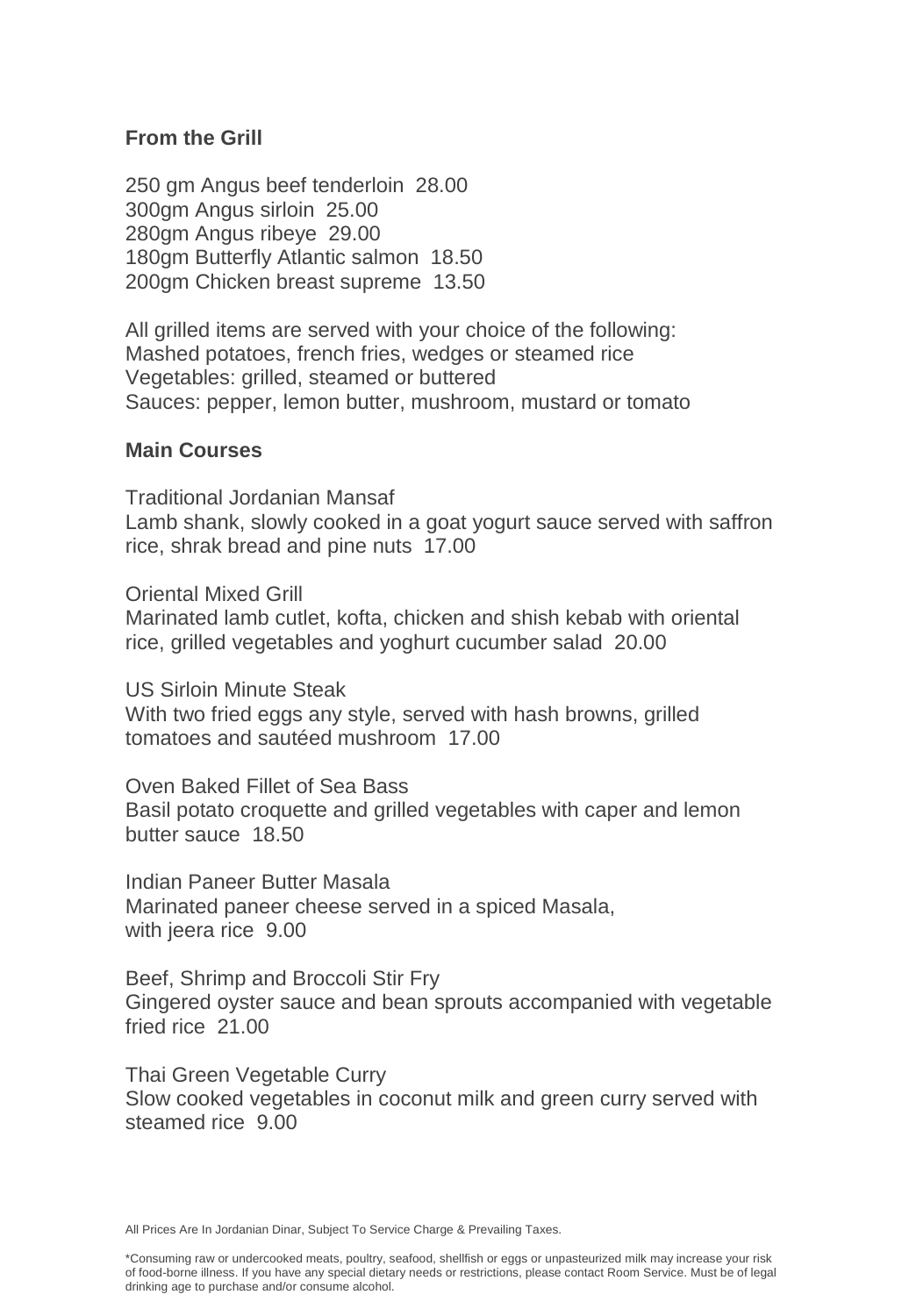### **From the Grill**

250 gm Angus beef tenderloin 28.00 300gm Angus sirloin 25.00 280gm Angus ribeye 29.00 180gm Butterfly Atlantic salmon 18.50 200gm Chicken breast supreme 13.50

All grilled items are served with your choice of the following: Mashed potatoes, french fries, wedges or steamed rice Vegetables: grilled, steamed or buttered Sauces: pepper, lemon butter, mushroom, mustard or tomato

#### **Main Courses**

Traditional Jordanian Mansaf Lamb shank, slowly cooked in a goat yogurt sauce served with saffron rice, shrak bread and pine nuts 17.00

Oriental Mixed Grill

Marinated lamb cutlet, kofta, chicken and shish kebab with oriental rice, grilled vegetables and yoghurt cucumber salad 20.00

US Sirloin Minute Steak With two fried eggs any style, served with hash browns, grilled tomatoes and sautéed mushroom 17.00

Oven Baked Fillet of Sea Bass Basil potato croquette and grilled vegetables with caper and lemon butter sauce 18.50

Indian Paneer Butter Masala Marinated paneer cheese served in a spiced Masala, with jeera rice 9.00

Beef, Shrimp and Broccoli Stir Fry Gingered oyster sauce and bean sprouts accompanied with vegetable fried rice 21.00

Thai Green Vegetable Curry Slow cooked vegetables in coconut milk and green curry served with steamed rice 9.00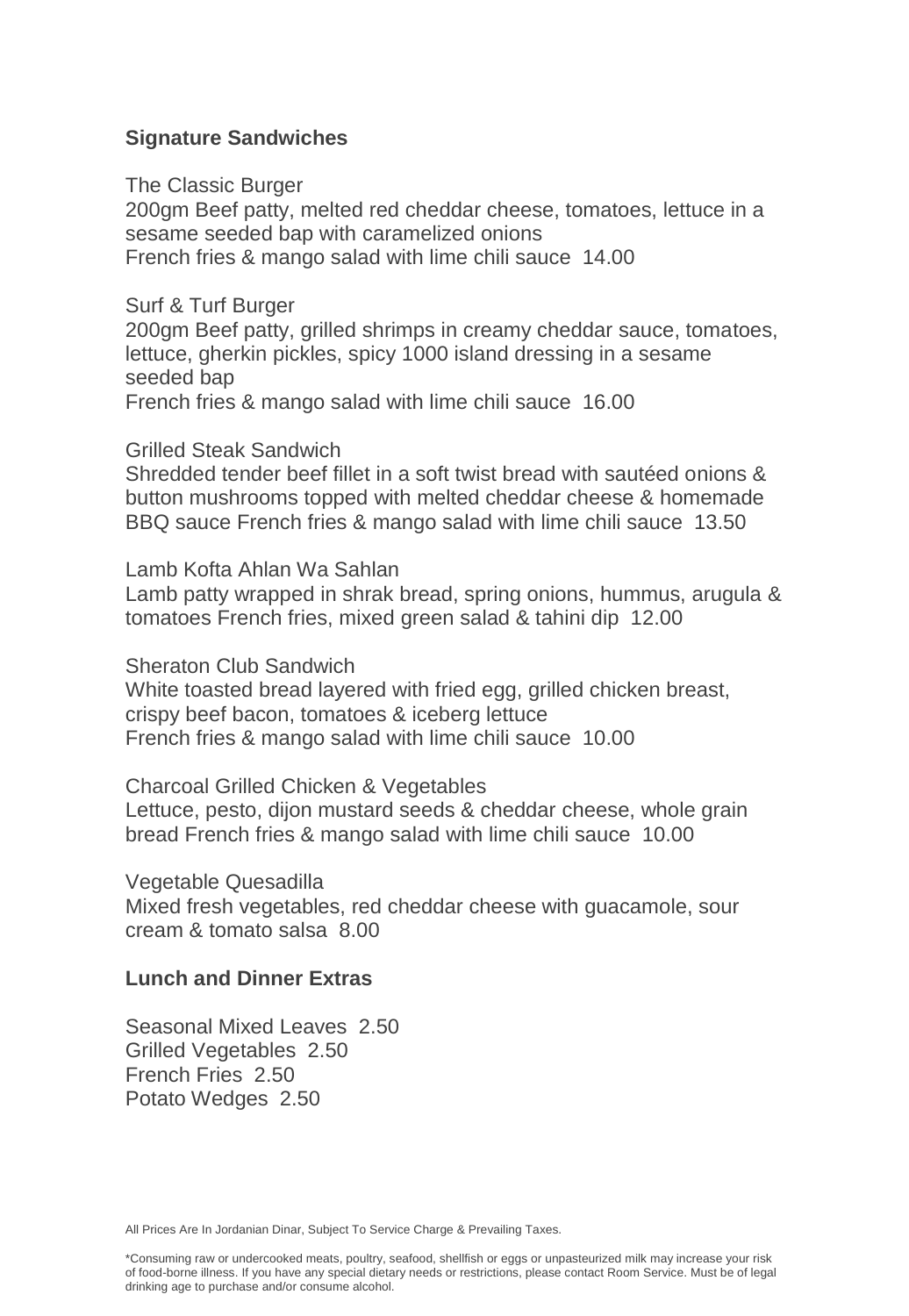### **Signature Sandwiches**

The Classic Burger

200gm Beef patty, melted red cheddar cheese, tomatoes, lettuce in a sesame seeded bap with caramelized onions French fries & mango salad with lime chili sauce 14.00

Surf & Turf Burger

200gm Beef patty, grilled shrimps in creamy cheddar sauce, tomatoes, lettuce, gherkin pickles, spicy 1000 island dressing in a sesame seeded bap French fries & mango salad with lime chili sauce 16.00

Grilled Steak Sandwich

Shredded tender beef fillet in a soft twist bread with sautéed onions & button mushrooms topped with melted cheddar cheese & homemade BBQ sauce French fries & mango salad with lime chili sauce 13.50

Lamb Kofta Ahlan Wa Sahlan

Lamb patty wrapped in shrak bread, spring onions, hummus, arugula & tomatoes French fries, mixed green salad & tahini dip 12.00

Sheraton Club Sandwich

White toasted bread layered with fried egg, grilled chicken breast, crispy beef bacon, tomatoes & iceberg lettuce French fries & mango salad with lime chili sauce 10.00

Charcoal Grilled Chicken & Vegetables Lettuce, pesto, dijon mustard seeds & cheddar cheese, whole grain bread French fries & mango salad with lime chili sauce 10.00

Vegetable Quesadilla

Mixed fresh vegetables, red cheddar cheese with guacamole, sour cream & tomato salsa 8.00

### **Lunch and Dinner Extras**

Seasonal Mixed Leaves 2.50 Grilled Vegetables 2.50 French Fries 2.50 Potato Wedges 2.50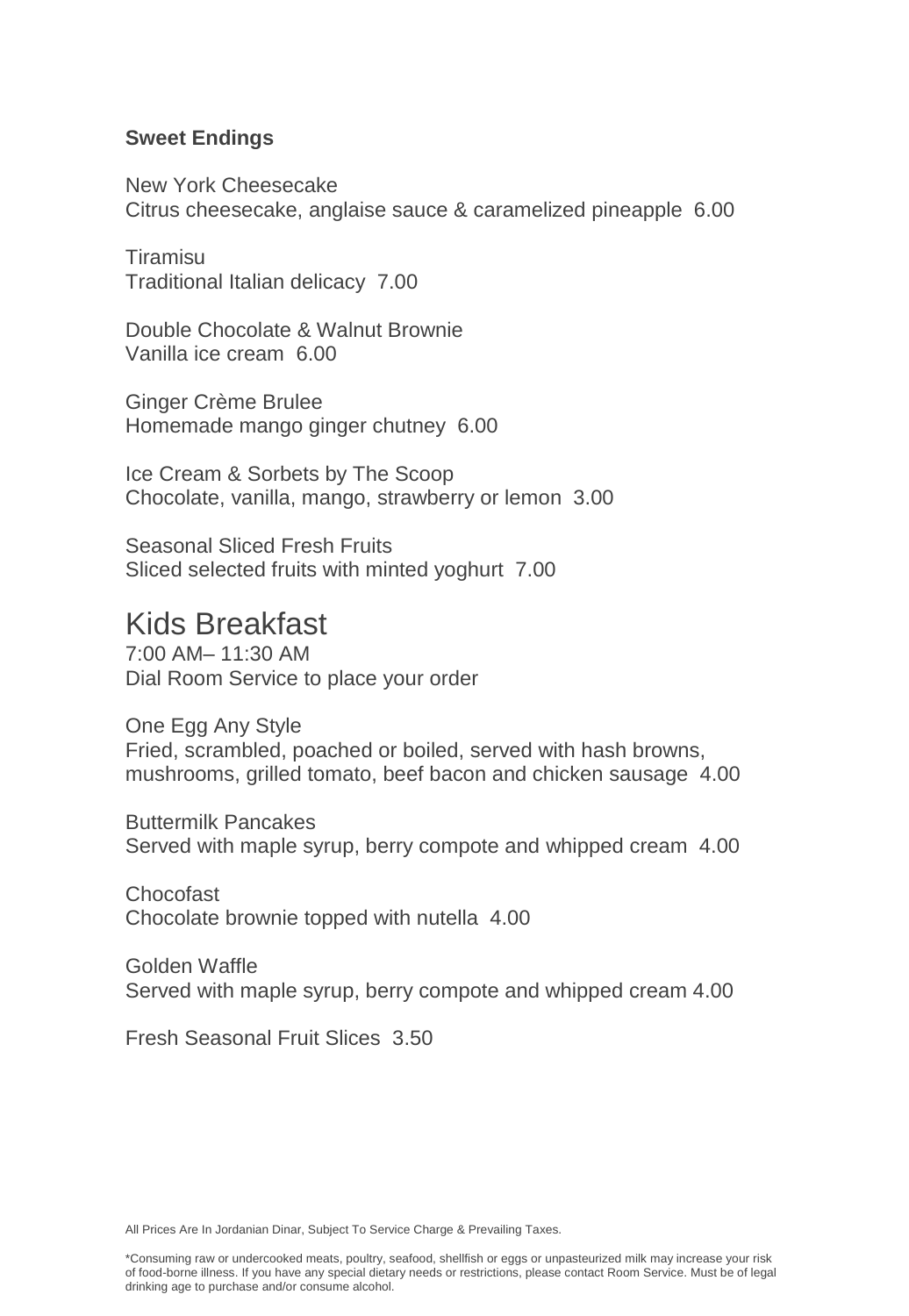### **Sweet Endings**

New York Cheesecake Citrus cheesecake, anglaise sauce & caramelized pineapple 6.00

Tiramisu Traditional Italian delicacy 7.00

Double Chocolate & Walnut Brownie Vanilla ice cream 6.00

Ginger Crème Brulee Homemade mango ginger chutney 6.00

Ice Cream & Sorbets by The Scoop Chocolate, vanilla, mango, strawberry or lemon 3.00

Seasonal Sliced Fresh Fruits Sliced selected fruits with minted yoghurt 7.00

## Kids Breakfast

7:00 AM– 11:30 AM Dial Room Service to place your order

One Egg Any Style Fried, scrambled, poached or boiled, served with hash browns, mushrooms, grilled tomato, beef bacon and chicken sausage 4.00

Buttermilk Pancakes Served with maple syrup, berry compote and whipped cream 4.00

Chocofast Chocolate brownie topped with nutella 4.00

Golden Waffle Served with maple syrup, berry compote and whipped cream 4.00

Fresh Seasonal Fruit Slices 3.50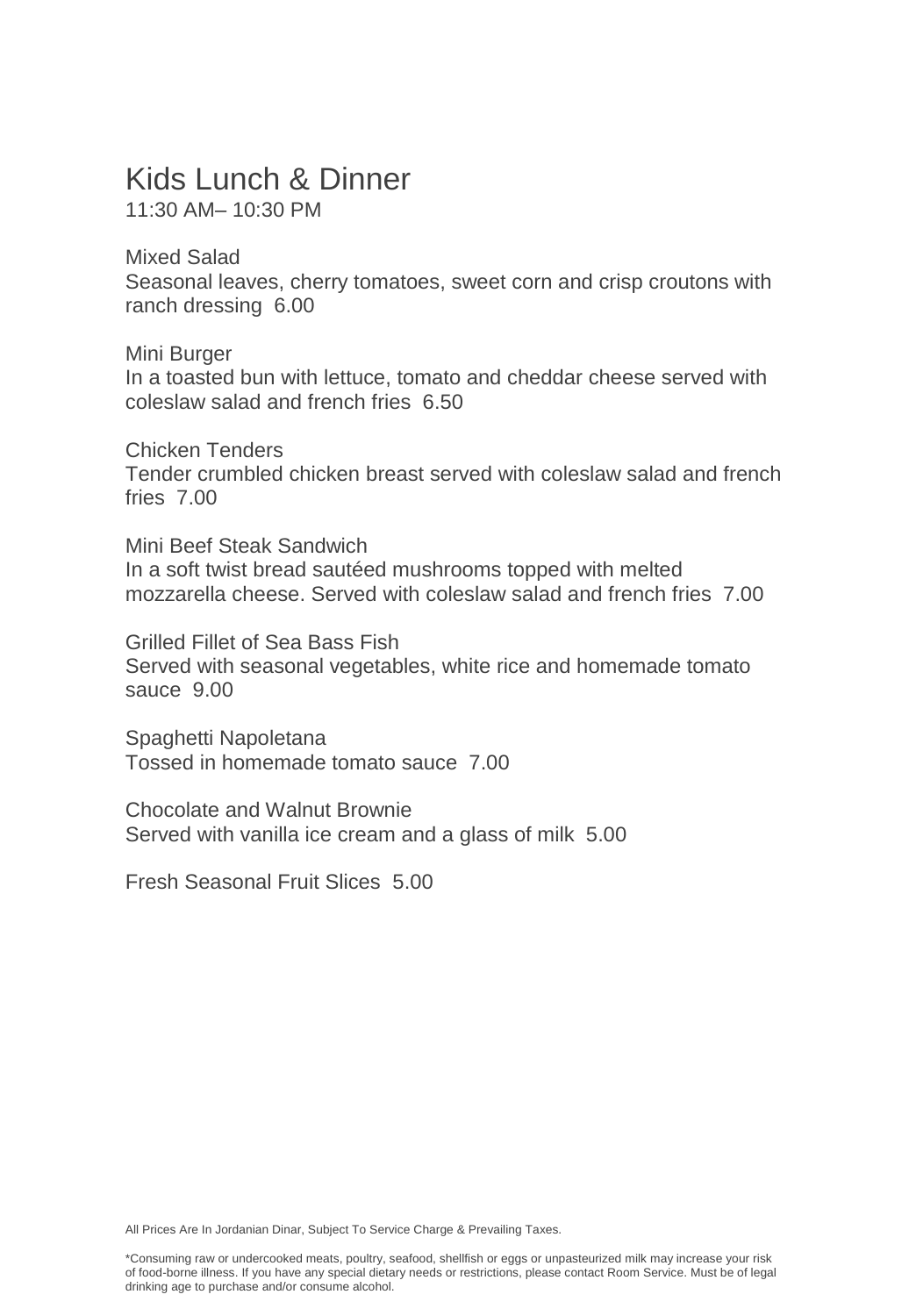# Kids Lunch & Dinner

11:30 AM– 10:30 PM

Mixed Salad Seasonal leaves, cherry tomatoes, sweet corn and crisp croutons with ranch dressing 6.00

Mini Burger In a toasted bun with lettuce, tomato and cheddar cheese served with coleslaw salad and french fries 6.50

Chicken Tenders Tender crumbled chicken breast served with coleslaw salad and french fries 7.00

Mini Beef Steak Sandwich In a soft twist bread sautéed mushrooms topped with melted mozzarella cheese. Served with coleslaw salad and french fries 7.00

Grilled Fillet of Sea Bass Fish Served with seasonal vegetables, white rice and homemade tomato sauce 9.00

Spaghetti Napoletana Tossed in homemade tomato sauce 7.00

Chocolate and Walnut Brownie Served with vanilla ice cream and a glass of milk 5.00

Fresh Seasonal Fruit Slices 5.00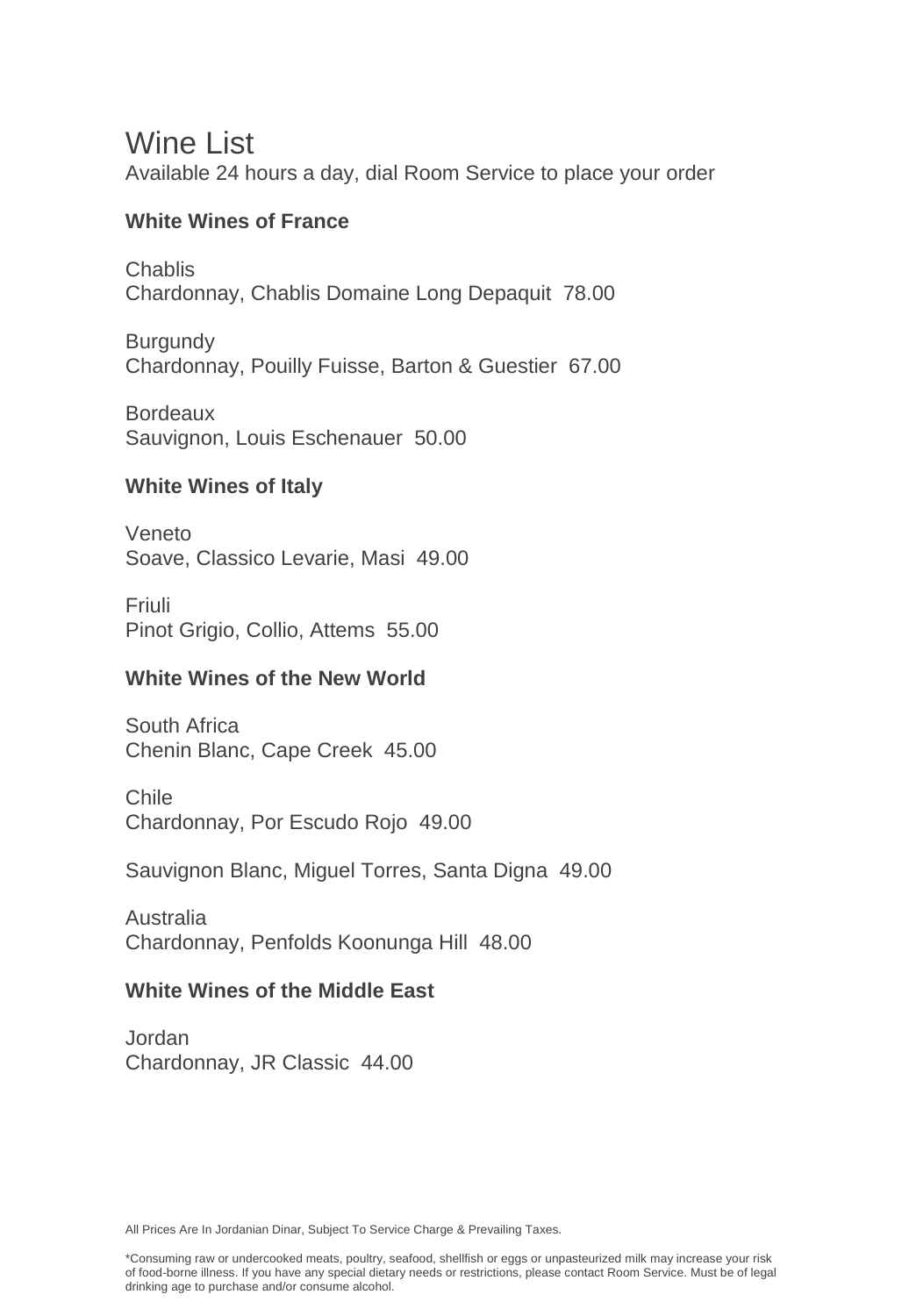## Wine List

Available 24 hours a day, dial Room Service to place your order

### **White Wines of France**

Chablis Chardonnay, Chablis Domaine Long Depaquit 78.00

**Burgundy** Chardonnay, Pouilly Fuisse, Barton & Guestier 67.00

Bordeaux Sauvignon, Louis Eschenauer 50.00

### **White Wines of Italy**

Veneto Soave, Classico Levarie, Masi 49.00

Friuli Pinot Grigio, Collio, Attems 55.00

### **White Wines of the New World**

South Africa Chenin Blanc, Cape Creek 45.00

Chile Chardonnay, Por Escudo Rojo 49.00

Sauvignon Blanc, Miguel Torres, Santa Digna 49.00

Australia Chardonnay, Penfolds Koonunga Hill 48.00

### **White Wines of the Middle East**

Jordan Chardonnay, JR Classic 44.00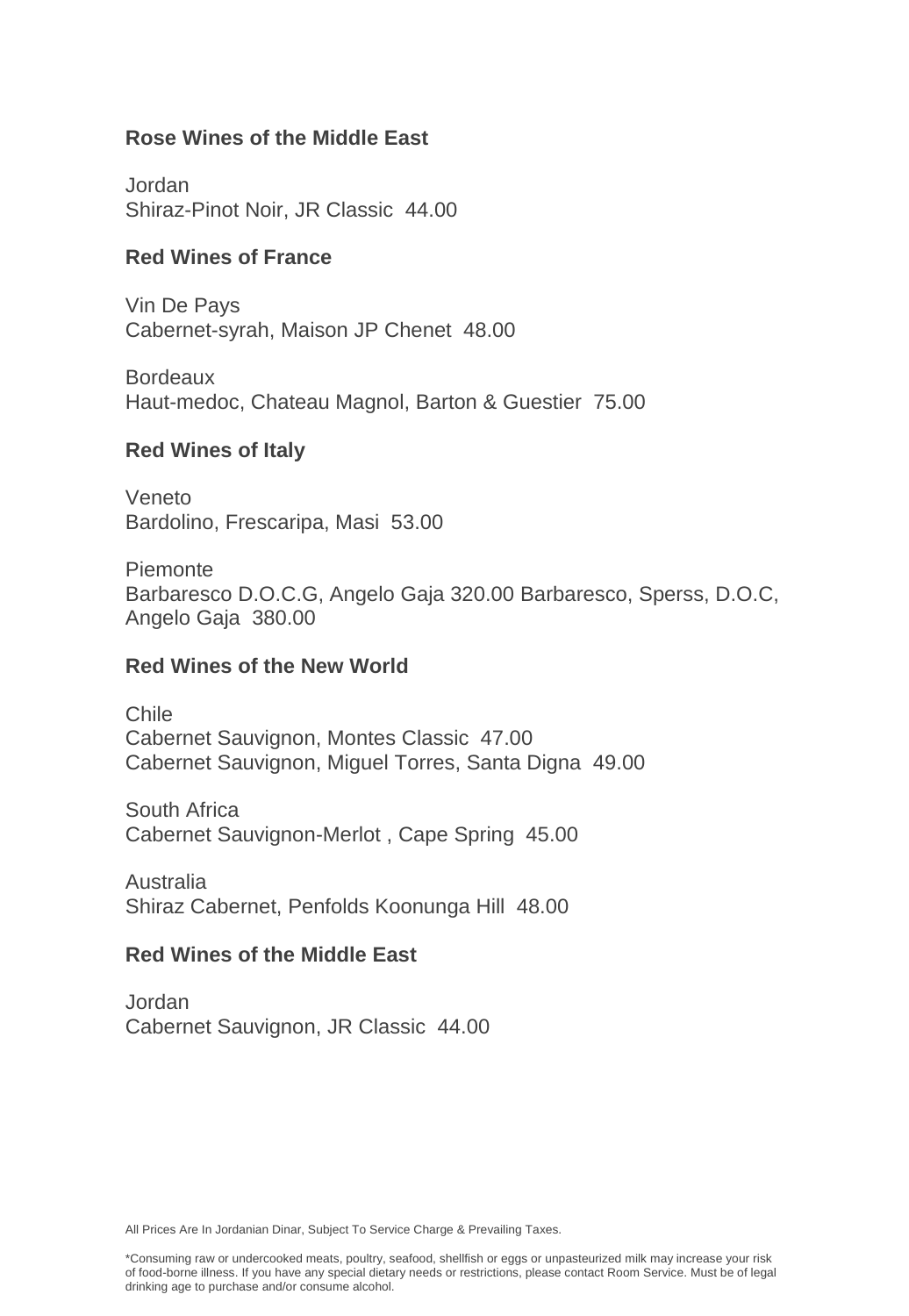### **Rose Wines of the Middle East**

Jordan Shiraz-Pinot Noir, JR Classic 44.00

### **Red Wines of France**

Vin De Pays Cabernet-syrah, Maison JP Chenet 48.00

**Bordeaux** Haut-medoc, Chateau Magnol, Barton & Guestier 75.00

### **Red Wines of Italy**

Veneto Bardolino, Frescaripa, Masi 53.00

Piemonte Barbaresco D.O.C.G, Angelo Gaja 320.00 Barbaresco, Sperss, D.O.C, Angelo Gaja 380.00

### **Red Wines of the New World**

Chile Cabernet Sauvignon, Montes Classic 47.00 Cabernet Sauvignon, Miguel Torres, Santa Digna 49.00

South Africa Cabernet Sauvignon-Merlot , Cape Spring 45.00

Australia Shiraz Cabernet, Penfolds Koonunga Hill 48.00

### **Red Wines of the Middle East**

Jordan Cabernet Sauvignon, JR Classic 44.00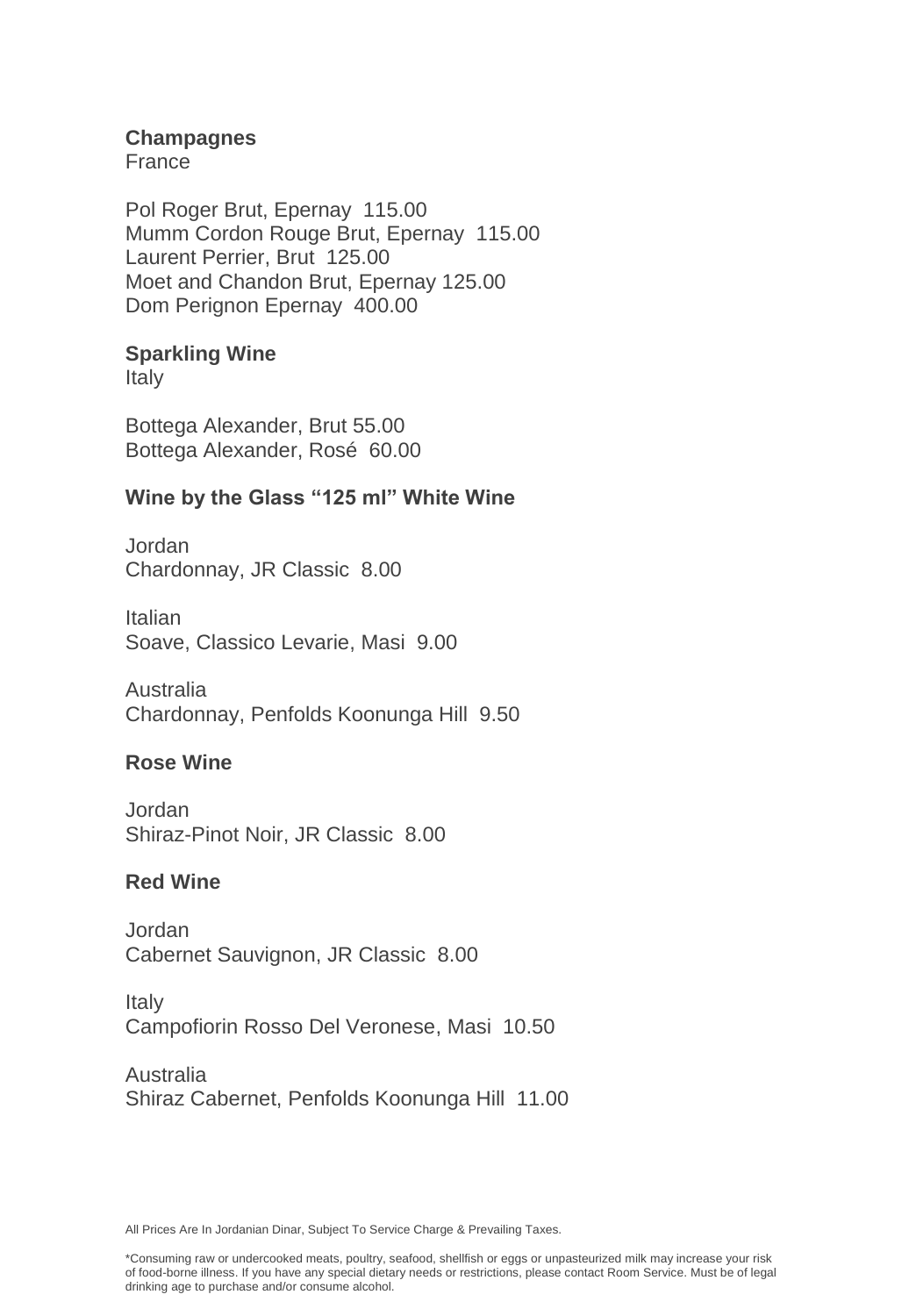### **Champagnes**

France

Pol Roger Brut, Epernay 115.00 Mumm Cordon Rouge Brut, Epernay 115.00 Laurent Perrier, Brut 125.00 Moet and Chandon Brut, Epernay 125.00 Dom Perignon Epernay 400.00

### **Sparkling Wine**

Italy

Bottega Alexander, Brut 55.00 Bottega Alexander, Rosé 60.00

### **Wine by the Glass "125 ml" White Wine**

Jordan Chardonnay, JR Classic 8.00

Italian Soave, Classico Levarie, Masi 9.00

Australia Chardonnay, Penfolds Koonunga Hill 9.50

### **Rose Wine**

Jordan Shiraz-Pinot Noir, JR Classic 8.00

### **Red Wine**

Jordan Cabernet Sauvignon, JR Classic 8.00

Italy Campofiorin Rosso Del Veronese, Masi 10.50

Australia Shiraz Cabernet, Penfolds Koonunga Hill 11.00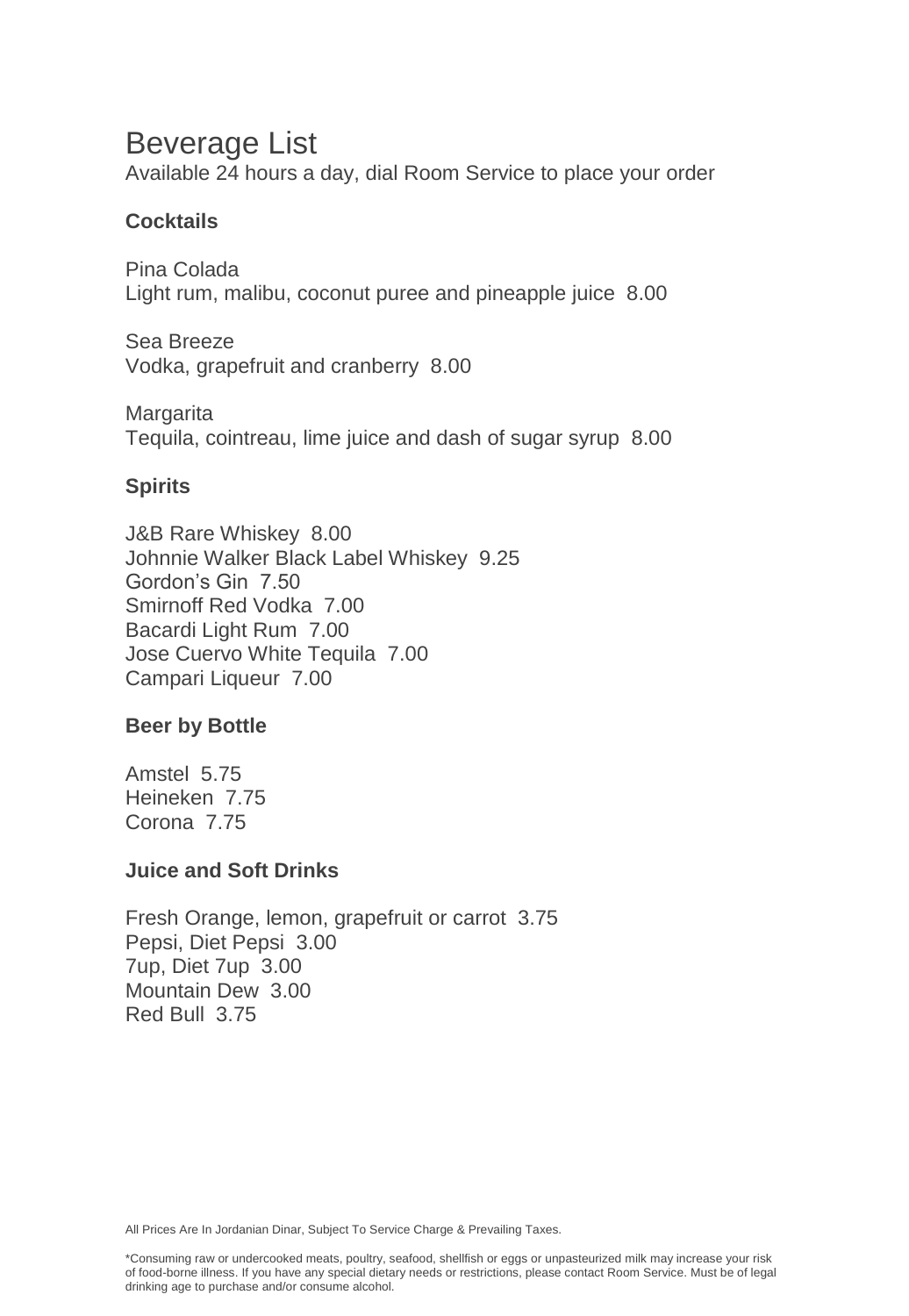# Beverage List

Available 24 hours a day, dial Room Service to place your order

### **Cocktails**

Pina Colada Light rum, malibu, coconut puree and pineapple juice 8.00

Sea Breeze Vodka, grapefruit and cranberry 8.00

**Margarita** Tequila, cointreau, lime juice and dash of sugar syrup 8.00

### **Spirits**

J&B Rare Whiskey 8.00 Johnnie Walker Black Label Whiskey 9.25 Gordon's Gin 7.50 Smirnoff Red Vodka 7.00 Bacardi Light Rum 7.00 Jose Cuervo White Tequila 7.00 Campari Liqueur 7.00

### **Beer by Bottle**

Amstel 5.75 Heineken 7.75 Corona 7.75

### **Juice and Soft Drinks**

Fresh Orange, lemon, grapefruit or carrot 3.75 Pepsi, Diet Pepsi 3.00 7up, Diet 7up 3.00 Mountain Dew 3.00 Red Bull 3.75